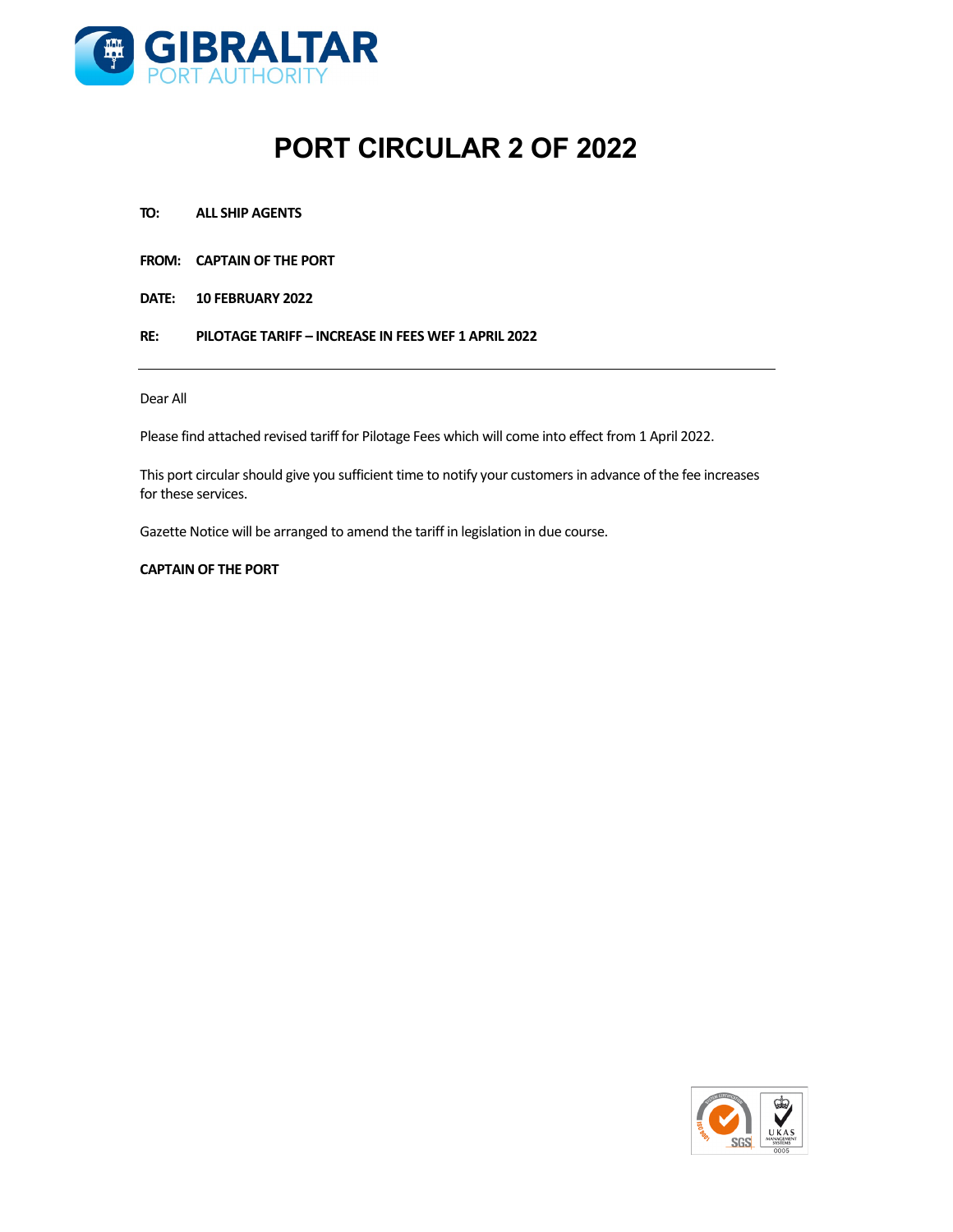

# **PORT CIRCULAR 2 OF 2022**

- **TO: ALL SHIP AGENTS**
- **FROM: CAPTAIN OF THE PORT**
- **DATE: 10 FEBRUARY 2022**
- **RE: PILOTAGE TARIFF – INCREASE IN FEES WEF 1 APRIL 2022**

#### Dear All

Please find attached revised tariff for Pilotage Fees which will come into effect from 1 April 2022.

This port circular should give you sufficient time to notify your customers in advance of the fee increases for these services.

Gazette Notice will be arranged to amend the tariff in legislation in due course.

#### **CAPTAIN OF THE PORT**